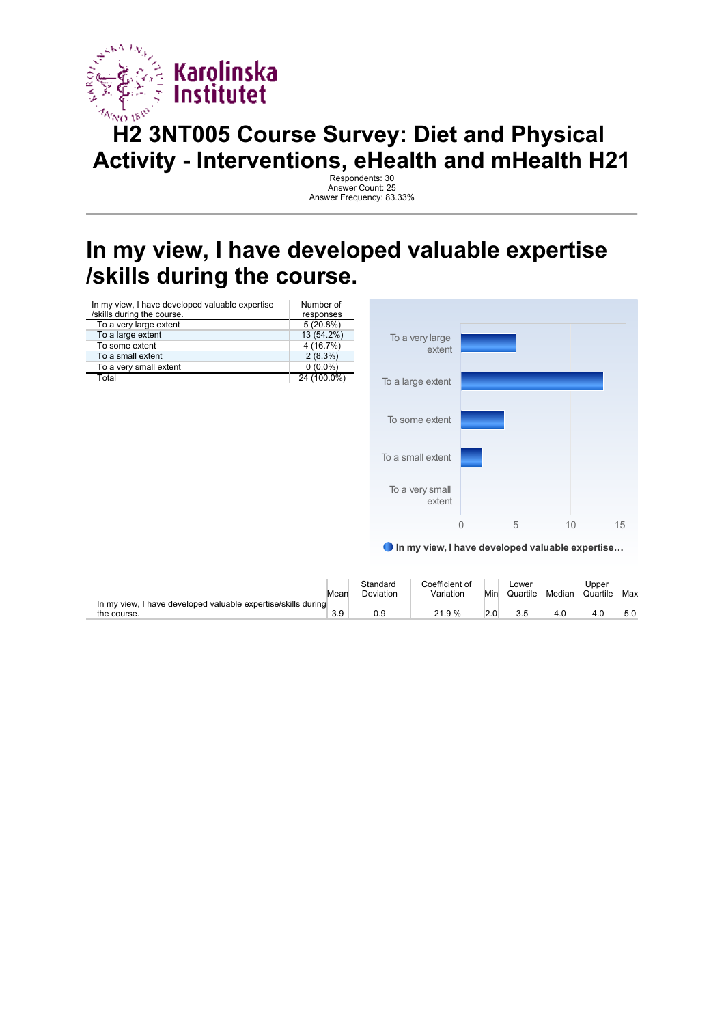

## **H2 3NT005 Course Survey: Diet and Physical Activity - Interventions, eHealth and mHealth H21**

Respondents: 30 Answer Count: 25 Answer Frequency: 83.33%

#### **In my view, I have developed valuable expertise /skills during the course.**

| In my view, I have developed valuable expertise<br>/skills during the course. | Number of<br>responses |
|-------------------------------------------------------------------------------|------------------------|
| To a very large extent                                                        | $5(20.8\%)$            |
| To a large extent                                                             | 13 (54.2%)             |
| To some extent                                                                | 4(16.7%)               |
| To a small extent                                                             | 2(8.3%)                |
| To a very small extent                                                        | $0(0.0\%)$             |
| Total                                                                         | 24 (100.0%)            |



In my view, I have developed valuable expertise…

|                                                                  | Mean | Standard<br>Deviation | Coefficient of<br>Variation | Min | _ower<br>Quartile | Median | Upper<br>Quartile | Max |
|------------------------------------------------------------------|------|-----------------------|-----------------------------|-----|-------------------|--------|-------------------|-----|
| I have developed valuable expertise/skills during<br>In my view. |      |                       |                             |     |                   |        |                   |     |
| the course.                                                      | 3.9  | 0.9                   | 21.9 %                      | 2.0 | 3.5               | 4.0    | 4.0               | 5.0 |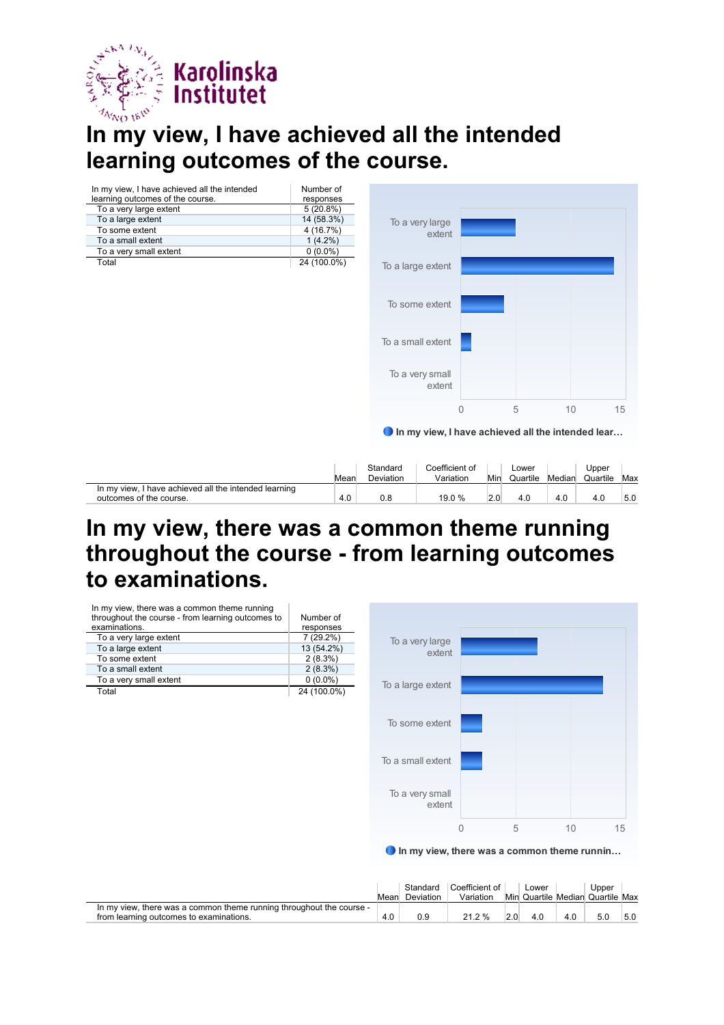

### **In my view, I have achieved all the intended learning outcomes of the course.**

| In my view, I have achieved all the intended | Number of   |
|----------------------------------------------|-------------|
| learning outcomes of the course.             | responses   |
| To a very large extent                       | 5(20.8%)    |
| To a large extent                            | 14 (58.3%)  |
| To some extent                               | 4 (16.7%)   |
| To a small extent                            | $1(4.2\%)$  |
| To a very small extent                       | $0(0.0\%)$  |
| Total                                        | 24 (100.0%) |



Mean Standard Deviation Coefficient of Variation Min Lower Quartile Median Upper Quartile Max In my view, I have achieved all the intended learning outcomes of the course. And the course of the course. 4.0 19.0 % 2.0 4.0 4.0 5.0

#### **In my view, there was a common theme running throughout the course - from learning outcomes to examinations.**

| In my view, there was a common theme running      |             |               |
|---------------------------------------------------|-------------|---------------|
| throughout the course - from learning outcomes to | Number of   |               |
| examinations.                                     | responses   |               |
| To a very large extent                            | 7 (29.2%)   | To a very la  |
| To a large extent                                 | 13 (54.2%)  |               |
| To some extent                                    | 2(8.3%)     | e             |
| To a small extent                                 | $2(8.3\%)$  |               |
| To a very small extent                            | $0(0.0\%)$  |               |
| Total                                             | 24 (100.0%) | To a large e: |
|                                                   |             |               |
|                                                   |             |               |



#### ● In my view, there was a common theme runnin…

|                                                                                                                 | Mean | Standard<br>Deviation | Coefficient of<br>Variation |     | ∟ower<br>Min Quartile Median Quartile Max |     | Upper |     |
|-----------------------------------------------------------------------------------------------------------------|------|-----------------------|-----------------------------|-----|-------------------------------------------|-----|-------|-----|
| In my view, there was a common theme running throughout the course -<br>from learning outcomes to examinations. |      | 0.9                   | 21.2 %                      | 2.0 |                                           | 4.0 | 5.0   | 5.0 |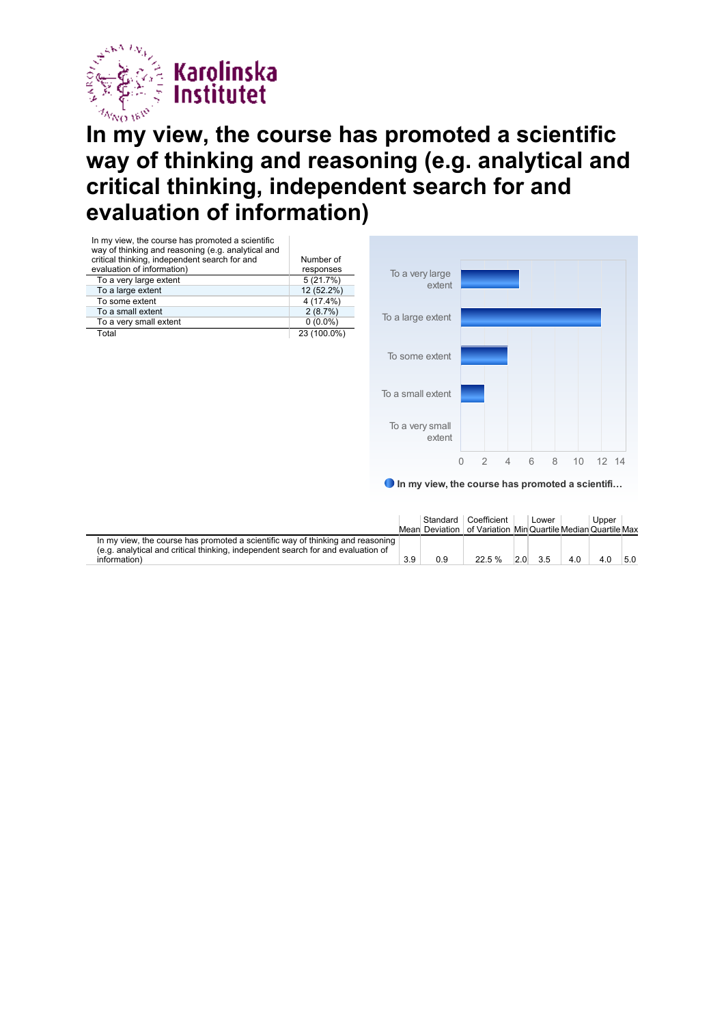

#### **In my view, the course has promoted a scientific way of thinking and reasoning (e.g. analytical and critical thinking, independent search for and evaluation of information)**



**O** In my view, the course has promoted a scientifi...

0 2 4 6 8 10 12 14

|                                                                                                                                                                                    |     | Standard  <br>Mean Deviation | Coefficient<br>of Variation Min Quartile Median Quartile Max |     | Lower |     | Upper |     |
|------------------------------------------------------------------------------------------------------------------------------------------------------------------------------------|-----|------------------------------|--------------------------------------------------------------|-----|-------|-----|-------|-----|
| In my view, the course has promoted a scientific way of thinking and reasoning<br>(e.g. analytical and critical thinking, independent search for and evaluation of<br>information) | 3.9 | 0.9                          | 22.5%                                                        | 2.0 | 3.5   | 4.0 | 4.0   | 5.0 |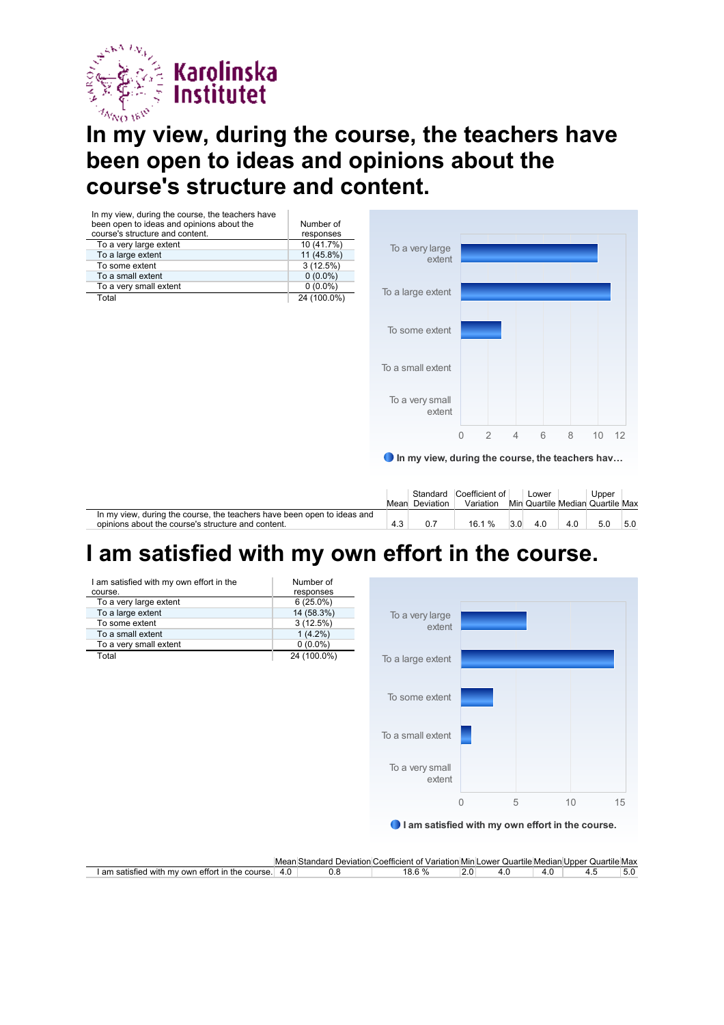

I am satisfied with my own effort in the

To a very large extent 6 (25.0%)<br>To a large extent 14 (58.3%) To a large extent 14 (58.3%)<br>To some extent 3 (12.5%)

To a small extent  $1 (4.2\%)$ To a very small extent 0 (0.0%) Total 24 (100.0%)

course.

To some extent

#### **In my view, during the course, the teachers have been open to ideas and opinions about the course's structure and content.**

| In my view, during the course, the teachers have<br>been open to ideas and opinions about the<br>course's structure and content. | Number of<br>responses |
|----------------------------------------------------------------------------------------------------------------------------------|------------------------|
| To a very large extent                                                                                                           | 10 (41.7%)             |
| To a large extent                                                                                                                | 11 (45.8%)             |
| To some extent                                                                                                                   | 3(12.5%)               |
| To a small extent                                                                                                                | $0(0.0\%)$             |
| To a very small extent                                                                                                           | $0(0.0\%)$             |
| Total                                                                                                                            | 24 (100.0%)            |



|                                                                                                                               |     | Mean Deviation | Standard Coefficient of<br>Variation |                  | Lower |     | Upper<br>Min Quartile Median Quartile Max |     |
|-------------------------------------------------------------------------------------------------------------------------------|-----|----------------|--------------------------------------|------------------|-------|-----|-------------------------------------------|-----|
| In my view, during the course, the teachers have been open to ideas and<br>opinions about the course's structure and content. | 4.3 |                | 16.1%                                | 3.0 <sub>l</sub> | 4.0   | 4.0 | 5.0                                       | 5.0 |

### **I am satisfied with my own effort in the course.**

Number of  $r$ esponses<br>6 (25.0%)



I am satisfied with my own effort in the course.

|                                                         | Mear | Deviation (<br>าตar<br>אור | Coefficient<br>∵Variation<br>ΩТ | า Min L | ower<br>Quartile Median |              | Quartile Max<br>ulnner : |      |
|---------------------------------------------------------|------|----------------------------|---------------------------------|---------|-------------------------|--------------|--------------------------|------|
| am<br>OWL<br>in<br>with<br>eπor<br>saristic<br>TNA<br>m | 4.G  | v.J                        | $\sim$ 0/<br>0 C                | Z.U     |                         | $\cdot\cdot$ |                          | IJ.U |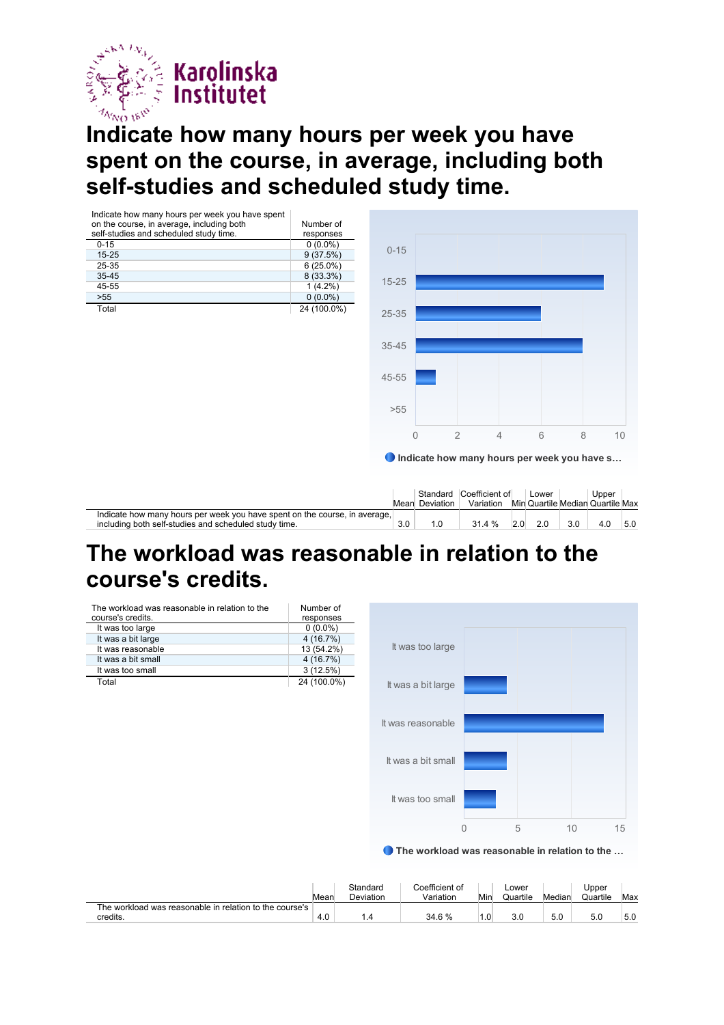

#### **Indicate how many hours per week you have spent on the course, in average, including both self-studies and scheduled study time.**



#### **The workload was reasonable in relation to the course's credits.**

| The workload was reasonable in relation to the<br>course's credits. | Number of<br>responses |
|---------------------------------------------------------------------|------------------------|
| It was too large                                                    | $0(0.0\%)$             |
| It was a bit large                                                  | 4(16.7%)               |
| It was reasonable                                                   | 13 (54.2%)             |
| It was a bit small                                                  | 4(16.7%)               |
| It was too small                                                    | 3(12.5%)               |
| Total                                                               | 24 (100.0%)            |



#### ● The workload was reasonable in relation to the ...

|                                                         | Mear | Standard<br><b>Deviation</b> | Coefficient of<br>Variation | Min | Lower<br>Quartile | Median | Upper<br>Quartile | Max |
|---------------------------------------------------------|------|------------------------------|-----------------------------|-----|-------------------|--------|-------------------|-----|
| The workload was reasonable in relation to the course's |      |                              |                             |     |                   |        |                   |     |
| credits.                                                | 4.0  |                              | 34.6 %                      |     | 3.0               | 5.0    | 5.0               | 5.0 |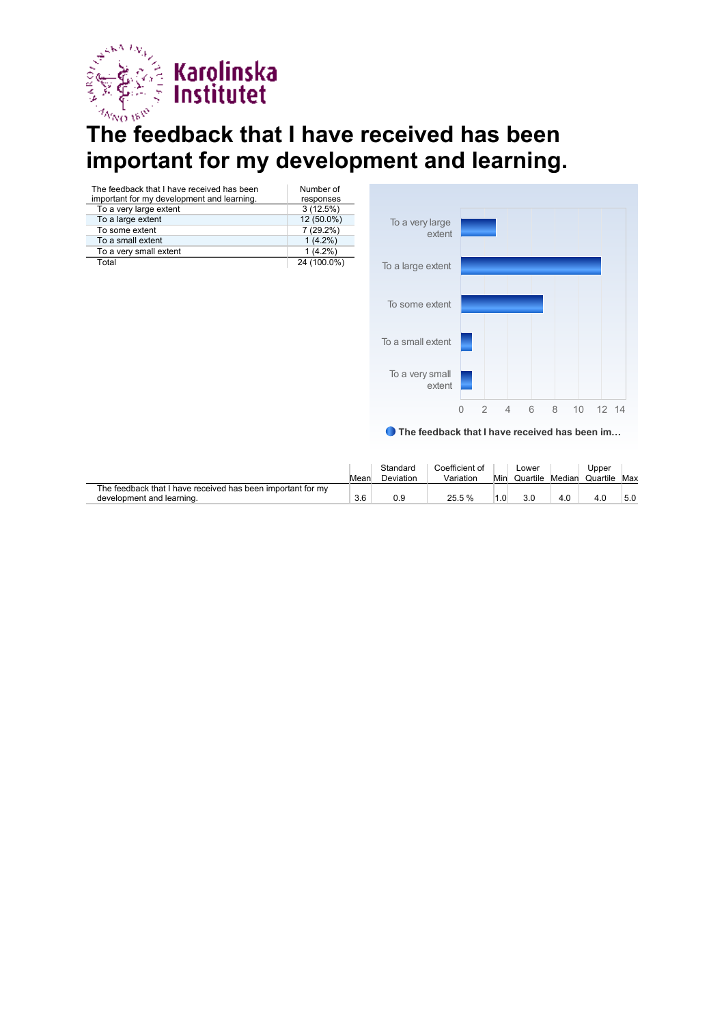

# **The feedback that I have received has been** important for my development and learning.

| The feedback that I have received has been<br>important for my development and learning. | Number of<br>responses |
|------------------------------------------------------------------------------------------|------------------------|
| To a very large extent                                                                   | 3(12.5%)               |
| To a large extent                                                                        | 12 (50.0%)             |
| To some extent                                                                           | $7(29.2\%)$            |
| To a small extent                                                                        | $1(4.2\%)$             |
| To a very small extent                                                                   | $1(4.2\%)$             |
| Total                                                                                    | 24 (100.0%)            |



● The feedback that I have received has been im...

|                                                                                          | Mear | Standard<br>Deviation | Coefficient of<br>Variation | Min | ∟ower<br>Quartile | Median | Jpper<br>Quartile | Max |
|------------------------------------------------------------------------------------------|------|-----------------------|-----------------------------|-----|-------------------|--------|-------------------|-----|
| The feedback that I have received has been important for my<br>development and learning. | 3.6  | 0.9                   | 25.5 %                      |     |                   | 4.0    |                   | 5.0 |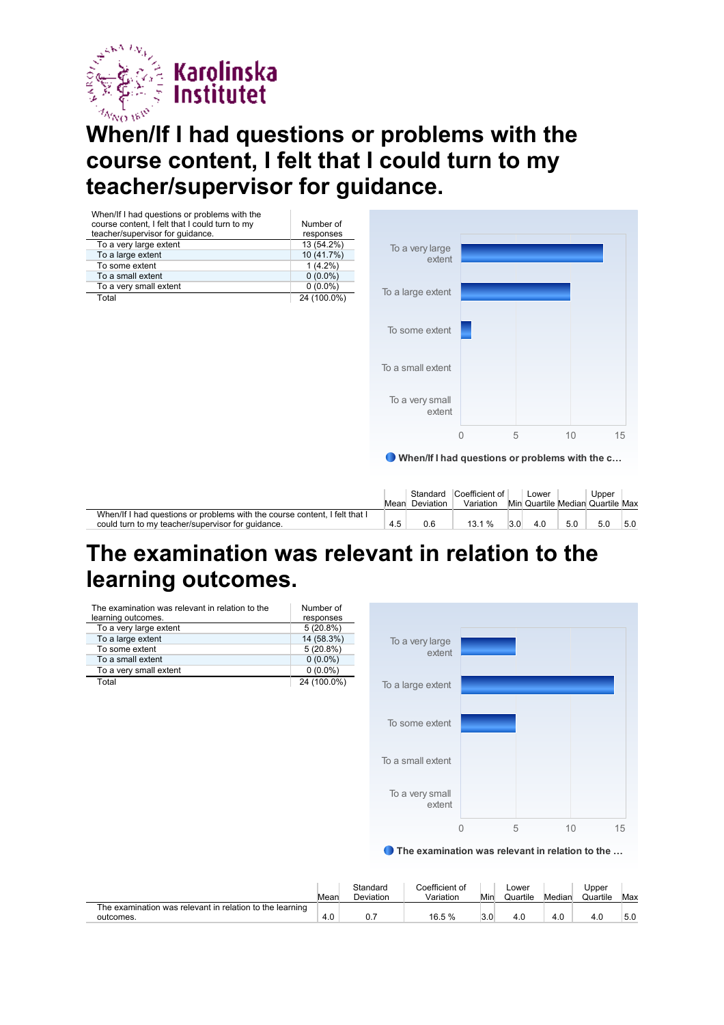

#### **When/If I had questions or problems with the course content, I felt that I could turn to my teacher/supervisor for guidance.**

| When/If I had questions or problems with the<br>course content, I felt that I could turn to my<br>teacher/supervisor for guidance. | Number of<br>responses |     |                            |                                                                               |     |                                           |     |       |     |
|------------------------------------------------------------------------------------------------------------------------------------|------------------------|-----|----------------------------|-------------------------------------------------------------------------------|-----|-------------------------------------------|-----|-------|-----|
| To a very large extent                                                                                                             | 13 (54.2%)             |     | To a very large            |                                                                               |     |                                           |     |       |     |
| To a large extent                                                                                                                  | 10 (41.7%)             |     | extent                     |                                                                               |     |                                           |     |       |     |
| To some extent                                                                                                                     | $1(4.2\%)$             |     |                            |                                                                               |     |                                           |     |       |     |
| To a small extent                                                                                                                  | $0(0.0\%)$             |     |                            |                                                                               |     |                                           |     |       |     |
| To a very small extent                                                                                                             | $0(0.0\%)$             |     | To a large extent          |                                                                               |     |                                           |     |       |     |
| Total                                                                                                                              | 24 (100.0%)            |     |                            |                                                                               |     |                                           |     |       |     |
|                                                                                                                                    |                        |     | To some extent             |                                                                               |     |                                           |     |       |     |
|                                                                                                                                    |                        |     | To a small extent          |                                                                               |     |                                           |     |       |     |
|                                                                                                                                    |                        |     | To a very small<br>extent  |                                                                               |     |                                           |     |       |     |
|                                                                                                                                    |                        |     |                            | $\Omega$                                                                      | 5   |                                           | 10  |       | 15  |
|                                                                                                                                    |                        | 0   | Standard<br>Mean Deviation | When/If I had questions or problems with the c<br>Coefficient of<br>Variation |     | Lower<br>Min Quartile Median Quartile Max |     | Upper |     |
| When/If I had questions or problems with the course content, I felt that I<br>could turn to my teacher/supervisor for guidance.    |                        | 4.5 | 0.6                        | 13.1 %                                                                        | 3.0 | 4.0                                       | 5.0 | 5.0   | 5.0 |

### **The examination was relevant in relation to the learning outcomes.**

| The examination was relevant in relation to the<br>learning outcomes. | Number of<br>responses |
|-----------------------------------------------------------------------|------------------------|
| To a very large extent                                                | $5(20.8\%)$            |
| To a large extent                                                     | 14 (58.3%)             |
| To some extent                                                        | 5(20.8%)               |
| To a small extent                                                     | $0(0.0\%)$             |
| To a very small extent                                                | $0(0.0\%)$             |
| Total                                                                 | 24 (100.0%)            |



#### ● The examination was relevant in relation to the ...

|                                                                       | Mear | Standard<br>Deviation | Coefficient of<br>Variation | Min | Lower<br>Quartile | Median | Jpper<br>Quartile | Max |
|-----------------------------------------------------------------------|------|-----------------------|-----------------------------|-----|-------------------|--------|-------------------|-----|
| The examination was relevant in relation to the learning<br>outcomes. | 4.0  |                       | 16.5 %                      |     | 4.C               | 4.0    | 4.0               | 5.0 |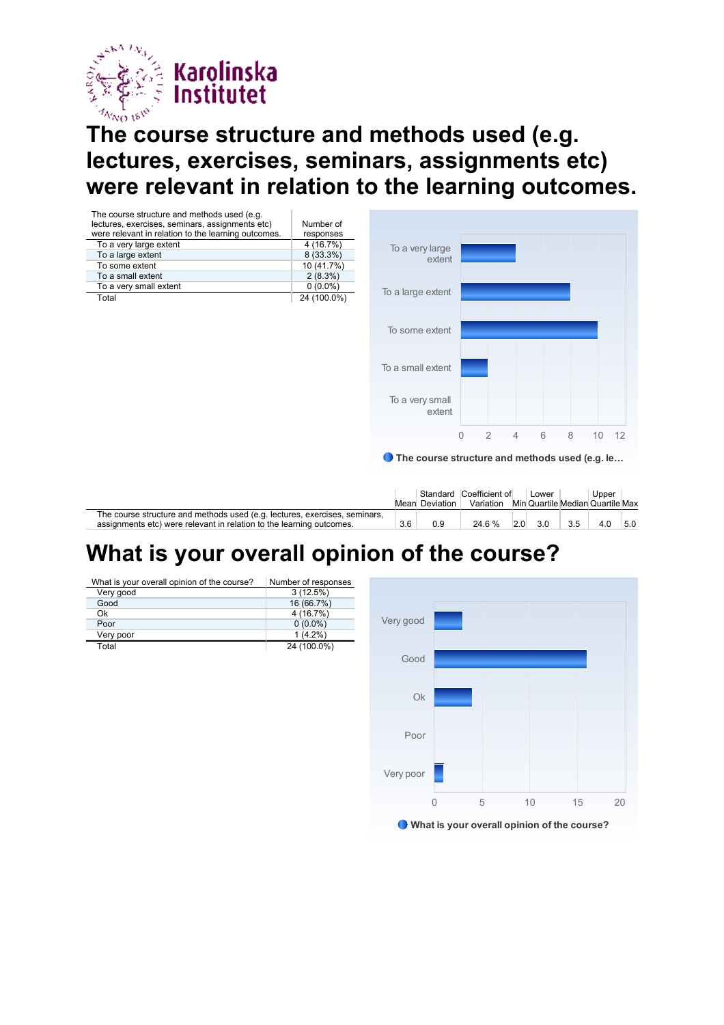

## **The course structure and methods used (e.g. lectures, exercises, seminars, assignments etc) were relevant in relation to the learning outcomes.**

| The course structure and methods used (e.g.         |             |                                                |              |                |                |   |   |    |      |
|-----------------------------------------------------|-------------|------------------------------------------------|--------------|----------------|----------------|---|---|----|------|
| lectures, exercises, seminars, assignments etc)     | Number of   |                                                |              |                |                |   |   |    |      |
| were relevant in relation to the learning outcomes. | responses   |                                                |              |                |                |   |   |    |      |
| To a very large extent                              | 4 (16.7%)   | To a very large                                |              |                |                |   |   |    |      |
| To a large extent                                   | 8 (33.3%)   | extent                                         |              |                |                |   |   |    |      |
| To some extent                                      | 10 (41.7%)  |                                                |              |                |                |   |   |    |      |
| To a small extent                                   | 2(8.3%)     |                                                |              |                |                |   |   |    |      |
| To a very small extent                              | $0(0.0\%)$  | To a large extent                              |              |                |                |   |   |    |      |
| Total                                               | 24 (100.0%) |                                                |              |                |                |   |   |    |      |
|                                                     |             |                                                |              |                |                |   |   |    |      |
|                                                     |             |                                                |              |                |                |   |   |    |      |
|                                                     |             | To some extent                                 |              |                |                |   |   |    |      |
|                                                     |             |                                                |              |                |                |   |   |    |      |
|                                                     |             |                                                |              |                |                |   |   |    |      |
|                                                     |             |                                                |              |                |                |   |   |    |      |
|                                                     |             | To a small extent                              |              |                |                |   |   |    |      |
|                                                     |             |                                                |              |                |                |   |   |    |      |
|                                                     |             |                                                |              |                |                |   |   |    |      |
|                                                     |             | To a very small                                |              |                |                |   |   |    |      |
|                                                     |             | extent                                         |              |                |                |   |   |    |      |
|                                                     |             |                                                |              |                |                |   |   |    |      |
|                                                     |             |                                                | $\mathbf{0}$ | $\overline{2}$ | $\overline{4}$ | 6 | 8 | 10 | - 12 |
|                                                     |             |                                                |              |                |                |   |   |    |      |
|                                                     |             | The course structure and methods used (e.g. le |              |                |                |   |   |    |      |
|                                                     |             |                                                |              |                |                |   |   |    |      |
|                                                     |             |                                                |              |                |                |   |   |    |      |
|                                                     |             |                                                |              |                |                |   |   |    |      |
|                                                     |             |                                                |              |                |                |   |   |    |      |

|                                                                            |     |                | Standard Coefficient of |     | Lower |     | Upper                            |     |
|----------------------------------------------------------------------------|-----|----------------|-------------------------|-----|-------|-----|----------------------------------|-----|
|                                                                            |     | Mean Deviation | Variation               |     |       |     | Min Quartile Median Quartile Max |     |
| The course structure and methods used (e.g. lectures, exercises, seminars, |     |                |                         |     |       |     |                                  |     |
| assignments etc) were relevant in relation to the learning outcomes.       | 3.6 | 0.9            | 24.6 %                  | 2.0 | 3.0   | 3.5 | 4.0                              | 5.0 |

### **What is your overall opinion of the course?**

| What is your overall opinion of the course? | Number of responses |
|---------------------------------------------|---------------------|
| Very good                                   | 3(12.5%)            |
| Good                                        | 16 (66.7%)          |
| Ok                                          | 4 (16.7%)           |
| Poor                                        | $0(0.0\%)$          |
| Very poor                                   | $1(4.2\%)$          |
| Total                                       | 24 (100.0%)         |